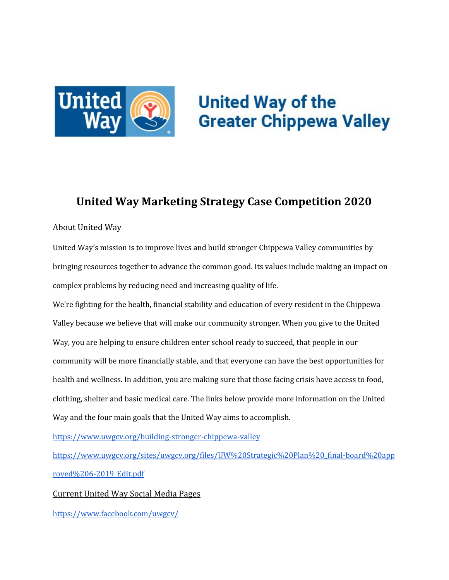

# **United Way of the Greater Chippewa Valley**

# **United Way Marketing Strategy Case Competition 2020**

## About United Way

United Way's mission is to improve lives and build stronger Chippewa Valley communities by bringing resources together to advance the common good. Its values include making an impact on complex problems by reducing need and increasing quality of life.

We're fighting for the health, financial stability and education of every resident in the Chippewa Valley because we believe that will make our community stronger. When you give to the United Way, you are helping to ensure children enter school ready to succeed, that people in our community will be more financially stable, and that everyone can have the best opportunities for health and wellness. In addition, you are making sure that those facing crisis have access to food, clothing, shelter and basic medical care. The links below provide more information on the United Way and the four main goals that the United Way aims to accomplish.

<https://www.uwgcv.org/building-stronger-chippewa-valley>

[https://www.uwgcv.org/sites/uwgcv.org/files/UW%20Strategic%20Plan%20\\_final-board%20app](https://www.uwgcv.org/sites/uwgcv.org/files/UW%20Strategic%20Plan%20_final-board%20approved%206-2019_Edit.pdf) [roved%206-2019\\_Edit.pdf](https://www.uwgcv.org/sites/uwgcv.org/files/UW%20Strategic%20Plan%20_final-board%20approved%206-2019_Edit.pdf)

Current United Way Social Media Pages

<https://www.facebook.com/uwgcv/>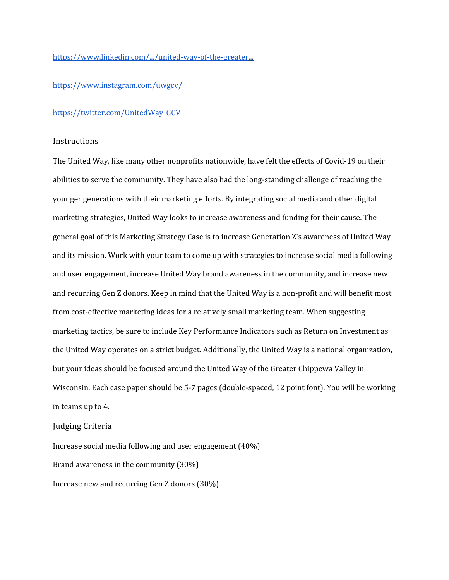[https://www.linkedin.com/.../united-way-of-the-greater](https://nam11.safelinks.protection.outlook.com/?url=https%3A%2F%2Fwww.linkedin.com%2F...%2Funited-way-of-the-greater&data=04%7C01%7CDAINSBRD9587%40uwec.edu%7C48c5412d0ac9464a1f0608d88585bbcc%7Cdd068b97759349388b3214faef2af1d8%7C0%7C0%7C637406156722165124%7CUnknown%7CTWFpbGZsb3d8eyJWIjoiMC4wLjAwMDAiLCJQIjoiV2luMzIiLCJBTiI6Ik1haWwiLCJXVCI6Mn0%3D%7C1000&sdata=nd28tEelQcYrUX6mZJzJHg0f%2BdHONi7b%2FFyvDrjSfkM%3D&reserved=0)...

[https://www.instagram.com/uwgcv/](https://nam11.safelinks.protection.outlook.com/?url=https%3A%2F%2Fwww.instagram.com%2Fuwgcv%2F&data=04%7C01%7CDAINSBRD9587%40uwec.edu%7C48c5412d0ac9464a1f0608d88585bbcc%7Cdd068b97759349388b3214faef2af1d8%7C0%7C0%7C637406156722165124%7CUnknown%7CTWFpbGZsb3d8eyJWIjoiMC4wLjAwMDAiLCJQIjoiV2luMzIiLCJBTiI6Ik1haWwiLCJXVCI6Mn0%3D%7C1000&sdata=HjF7HiOuW3szH5K3VCm%2BBziain9lShl6KVXAyVbir5o%3D&reserved=0)

#### [https://twitter.com/UnitedWay\\_GCV](https://nam11.safelinks.protection.outlook.com/?url=https%3A%2F%2Ftwitter.com%2FUnitedWay_GCV&data=04%7C01%7CDAINSBRD9587%40uwec.edu%7C48c5412d0ac9464a1f0608d88585bbcc%7Cdd068b97759349388b3214faef2af1d8%7C0%7C0%7C637406156722175117%7CUnknown%7CTWFpbGZsb3d8eyJWIjoiMC4wLjAwMDAiLCJQIjoiV2luMzIiLCJBTiI6Ik1haWwiLCJXVCI6Mn0%3D%7C1000&sdata=49dTsrGBOTjGvyyo%2B1y8pbfIjt1p2%2BdYjQc5LZaYZoU%3D&reserved=0)

#### Instructions

The United Way, like many other nonprofits nationwide, have felt the effects of Covid-19 on their abilities to serve the community. They have also had the long-standing challenge of reaching the younger generations with their marketing efforts. By integrating social media and other digital marketing strategies, United Way looks to increase awareness and funding for their cause. The general goal of this Marketing Strategy Case is to increase Generation Z's awareness of United Way and its mission. Work with your team to come up with strategies to increase social media following and user engagement, increase United Way brand awareness in the community, and increase new and recurring Gen Z donors. Keep in mind that the United Way is a non-profit and will benefit most from cost-effective marketing ideas for a relatively small marketing team. When suggesting marketing tactics, be sure to include Key Performance Indicators such as Return on Investment as the United Way operates on a strict budget. Additionally, the United Way is a national organization, but your ideas should be focused around the United Way of the Greater Chippewa Valley in Wisconsin. Each case paper should be 5-7 pages (double-spaced, 12 point font). You will be working in teams up to 4.

#### Judging Criteria

Increase social media following and user engagement (40%) Brand awareness in the community (30%) Increase new and recurring Gen Z donors (30%)